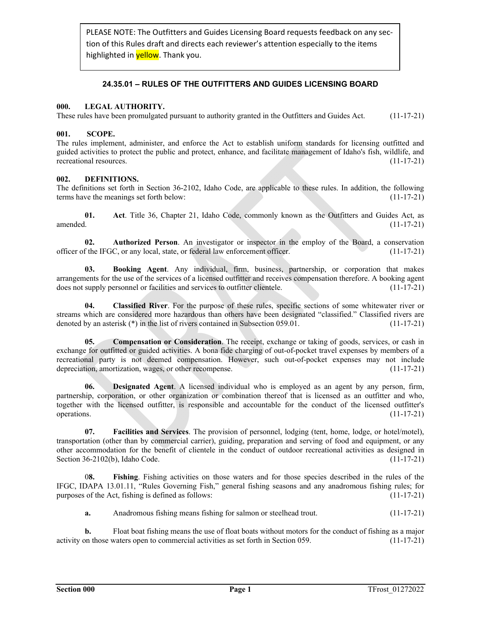PLEASE NOTE: The Outfitters and Guides Licensing Board requests feedback on any sec‐ tion of this Rules draft and directs each reviewer's attention especially to the items highlighted in **yellow**. Thank you.

# **24.35.01 – RULES OF THE OUTFITTERS AND GUIDES LICENSING BOARD**

# **000. LEGAL AUTHORITY.**

These rules have been promulgated pursuant to authority granted in the Outfitters and Guides Act. (11-17-21)

# **001. SCOPE.**

The rules implement, administer, and enforce the Act to establish uniform standards for licensing outfitted and guided activities to protect the public and protect, enhance, and facilitate management of Idaho's fish, wildlife, and recreational resources. (11-17-21)

### **002. DEFINITIONS.**

The definitions set forth in Section 36-2102, Idaho Code, are applicable to these rules. In addition, the following terms have the meanings set forth below: (11-17-21)

**01. Act**. Title 36, Chapter 21, Idaho Code, commonly known as the Outfitters and Guides Act, as  $a$ mended.  $(11-17-21)$ 

**02. Authorized Person**. An investigator or inspector in the employ of the Board, a conservation officer of the IFGC, or any local, state, or federal law enforcement officer. (11-17-21)

**03. Booking Agent**. Any individual, firm, business, partnership, or corporation that makes arrangements for the use of the services of a licensed outfitter and receives compensation therefore. A booking agent does not supply personnel or facilities and services to outfitter clientele. (11-17-21)

**04. Classified River**. For the purpose of these rules, specific sections of some whitewater river or streams which are considered more hazardous than others have been designated "classified." Classified rivers are denoted by an asterisk (\*) in the list of rivers contained in Subsection 059.01. (11-17-21)

**05. Compensation or Consideration**. The receipt, exchange or taking of goods, services, or cash in exchange for outfitted or guided activities. A bona fide charging of out-of-pocket travel expenses by members of a recreational party is not deemed compensation. However, such out-of-pocket expenses may not include depreciation, amortization, wages, or other recompense. (11-17-21)

**06. Designated Agent**. A licensed individual who is employed as an agent by any person, firm, partnership, corporation, or other organization or combination thereof that is licensed as an outfitter and who, together with the licensed outfitter, is responsible and accountable for the conduct of the licensed outfitter's operations. (11-17-21)

**07. Facilities and Services**. The provision of personnel, lodging (tent, home, lodge, or hotel/motel), transportation (other than by commercial carrier), guiding, preparation and serving of food and equipment, or any other accommodation for the benefit of clientele in the conduct of outdoor recreational activities as designed in Section 36-2102(b), Idaho Code. (11-17-21)

 0**8. Fishing**. Fishing activities on those waters and for those species described in the rules of the IFGC, IDAPA 13.01.11, "Rules Governing Fish," general fishing seasons and any anadromous fishing rules; for purposes of the Act, fishing is defined as follows: (11-17-21)

**a.** Anadromous fishing means fishing for salmon or steelhead trout. (11-17-21)

**b.** Float boat fishing means the use of float boats without motors for the conduct of fishing as a major activity on those waters open to commercial activities as set forth in Section 059. (11-17-21)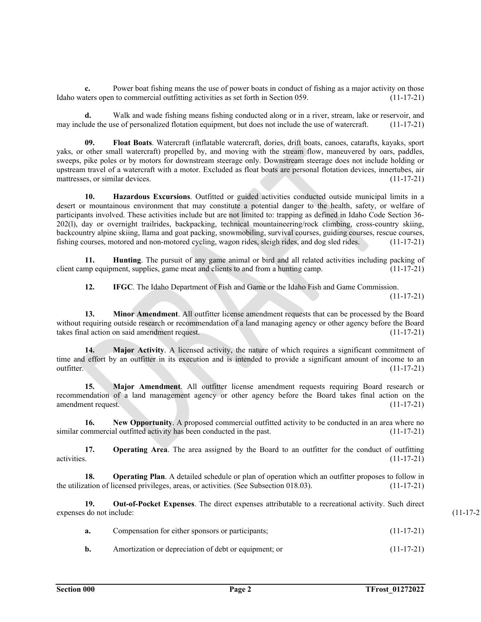**c.** Power boat fishing means the use of power boats in conduct of fishing as a major activity on those Idaho waters open to commercial outfitting activities as set forth in Section 059. (11-17-21)

**d.** Walk and wade fishing means fishing conducted along or in a river, stream, lake or reservoir, and may include the use of personalized flotation equipment, but does not include the use of watercraft. (11-17-21)

**09. Float Boats**. Watercraft (inflatable watercraft, dories, drift boats, canoes, catarafts, kayaks, sport yaks, or other small watercraft) propelled by, and moving with the stream flow, maneuvered by oars, paddles, sweeps, pike poles or by motors for downstream steerage only. Downstream steerage does not include holding or upstream travel of a watercraft with a motor. Excluded as float boats are personal flotation devices, innertubes, air mattresses, or similar devices. (11-17-21)

**10. Hazardous Excursions**. Outfitted or guided activities conducted outside municipal limits in a desert or mountainous environment that may constitute a potential danger to the health, safety, or welfare of participants involved. These activities include but are not limited to: trapping as defined in Idaho Code Section 36- 202(l), day or overnight trailrides, backpacking, technical mountaineering/rock climbing, cross-country skiing, backcountry alpine skiing, llama and goat packing, snowmobiling, survival courses, guiding courses, rescue courses, fishing courses, motored and non-motored cycling, wagon rides, sleigh rides, and dog sled rides. (11-17-21)

**11. Hunting**. The pursuit of any game animal or bird and all related activities including packing of client camp equipment, supplies, game meat and clients to and from a hunting camp. (11-17-21)

**12. IFGC**. The Idaho Department of Fish and Game or the Idaho Fish and Game Commission.

 $(11-17-21)$ 

**13. Minor Amendment**. All outfitter license amendment requests that can be processed by the Board without requiring outside research or recommendation of a land managing agency or other agency before the Board takes final action on said amendment request. (11-17-21)

**14. Major Activity**. A licensed activity, the nature of which requires a significant commitment of time and effort by an outfitter in its execution and is intended to provide a significant amount of income to an outfitter. (11-17-21)

**15. Major Amendment**. All outfitter license amendment requests requiring Board research or recommendation of a land management agency or other agency before the Board takes final action on the amendment request. (11-17-21)

**16.** New Opportunity. A proposed commercial outfitted activity to be conducted in an area where no similar commercial outfitted activity has been conducted in the past. (11-17-21)

17. **Operating Area**. The area assigned by the Board to an outfitter for the conduct of outfitting activities. (11-17-21)

**18. Operating Plan**. A detailed schedule or plan of operation which an outfitter proposes to follow in the utilization of licensed privileges, areas, or activities. (See Subsection 018.03). (11-17-21)

**19. Out-of-Pocket Expenses**. The direct expenses attributable to a recreational activity. Such direct expenses do not include: (11-17-2

| a. | Compensation for either sponsors or participants; | $(11-17-21)$ |
|----|---------------------------------------------------|--------------|
|    |                                                   |              |

**b.** Amortization or depreciation of debt or equipment; or (11-17-21)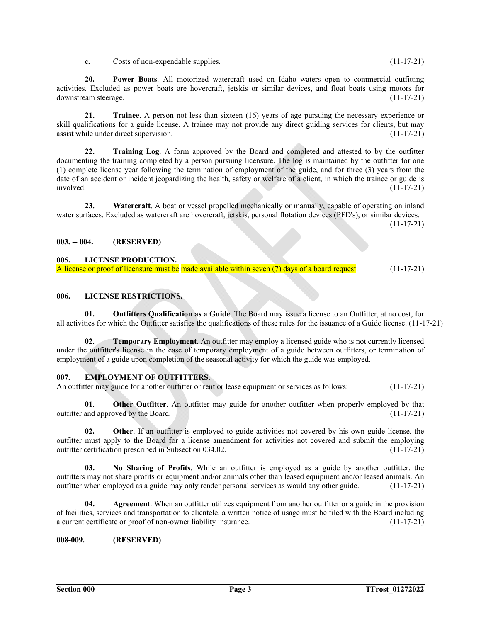**c.** Costs of non-expendable supplies. (11-17-21)

**20. Power Boats**. All motorized watercraft used on Idaho waters open to commercial outfitting activities. Excluded as power boats are hovercraft, jetskis or similar devices, and float boats using motors for downstream steerage. (11-17-21)

**21. Trainee**. A person not less than sixteen (16) years of age pursuing the necessary experience or skill qualifications for a guide license. A trainee may not provide any direct guiding services for clients, but may assist while under direct supervision. (11-17-21)

 **22. Training Log**. A form approved by the Board and completed and attested to by the outfitter documenting the training completed by a person pursuing licensure. The log is maintained by the outfitter for one (1) complete license year following the termination of employment of the guide, and for three (3) years from the date of an accident or incident jeopardizing the health, safety or welfare of a client, in which the trainee or guide is involved. (11-17-21)

23. Watercraft. A boat or vessel propelled mechanically or manually, capable of operating on inland water surfaces. Excluded as watercraft are hovercraft, jetskis, personal flotation devices (PFD's), or similar devices.  $(11-17-21)$ 

# **003. -- 004. (RESERVED)**

#### **005. LICENSE PRODUCTION.**

A license or proof of licensure must be made available within seven (7) days of a board request. (11-17-21)

#### **006. LICENSE RESTRICTIONS.**

**01. Outfitters Qualification as a Guide**. The Board may issue a license to an Outfitter, at no cost, for all activities for which the Outfitter satisfies the qualifications of these rules for the issuance of a Guide license. (11-17-21)

**02. Temporary Employment**. An outfitter may employ a licensed guide who is not currently licensed under the outfitter's license in the case of temporary employment of a guide between outfitters, or termination of employment of a guide upon completion of the seasonal activity for which the guide was employed.

#### **007. EMPLOYMENT OF OUTFITTERS.**

An outfitter may guide for another outfitter or rent or lease equipment or services as follows: (11-17-21)

**01.** Other Outfitter. An outfitter may guide for another outfitter when properly employed by that outfitter and approved by the Board. (11-17-21)

**02. Other**. If an outfitter is employed to guide activities not covered by his own guide license, the outfitter must apply to the Board for a license amendment for activities not covered and submit the employing outfitter certification prescribed in Subsection 034.02. (11-17-21)

**03. No Sharing of Profits**. While an outfitter is employed as a guide by another outfitter, the outfitters may not share profits or equipment and/or animals other than leased equipment and/or leased animals. An outfitter when employed as a guide may only render personal services as would any other guide. (11-17-21)

**04.** Agreement. When an outfitter utilizes equipment from another outfitter or a guide in the provision of facilities, services and transportation to clientele, a written notice of usage must be filed with the Board including a current certificate or proof of non-owner liability insurance. (11-17-21)

### **008-009. (RESERVED)**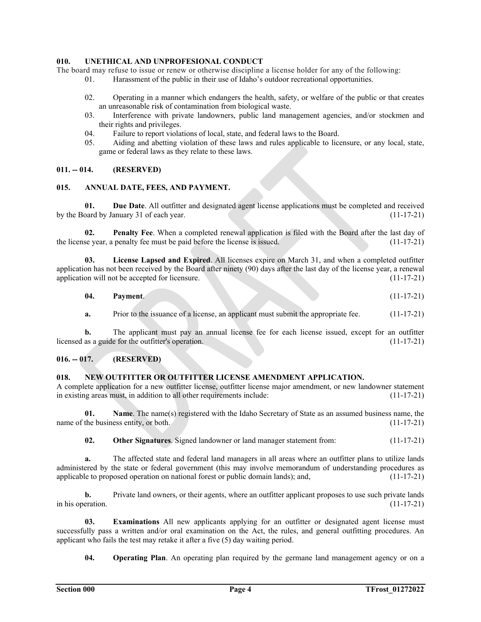# **010. UNETHICAL AND UNPROFESIONAL CONDUCT**

The board may refuse to issue or renew or otherwise discipline a license holder for any of the following:

- 01. Harassment of the public in their use of Idaho's outdoor recreational opportunities.
- 02. Operating in a manner which endangers the health, safety, or welfare of the public or that creates an unreasonable risk of contamination from biological waste.
- 03. Interference with private landowners, public land management agencies, and/or stockmen and their rights and privileges.
- 04. Failure to report violations of local, state, and federal laws to the Board.
- 05. Aiding and abetting violation of these laws and rules applicable to licensure, or any local, state, game or federal laws as they relate to these laws.

### **011. -- 014. (RESERVED)**

#### **015. ANNUAL DATE, FEES, AND PAYMENT.**

**01. Due Date**. All outfitter and designated agent license applications must be completed and received by the Board by January 31 of each year. (11-17-21)

**02. Penalty Fee**. When a completed renewal application is filed with the Board after the last day of the license year, a penalty fee must be paid before the license is issued. (11-17-21)

**03. License Lapsed and Expired**. All licenses expire on March 31, and when a completed outfitter application has not been received by the Board after ninety (90) days after the last day of the license year, a renewal application will not be accepted for licensure. (11-17-21)

| -04. | _______<br>Payment.<br>______ | . | _______<br>_______<br>__________<br>________<br>_______<br>.<br>_____<br>______ | ______<br><b>Contract Contract</b><br>____ | . .<br>.<br>- -<br>. |
|------|-------------------------------|---|---------------------------------------------------------------------------------|--------------------------------------------|----------------------|
|------|-------------------------------|---|---------------------------------------------------------------------------------|--------------------------------------------|----------------------|

**a.** Prior to the issuance of a license, an applicant must submit the appropriate fee.  $(11-17-21)$ 

**b.** The applicant must pay an annual license fee for each license issued, except for an outfitter as a guide for the outfitter's operation. (11-17-21) licensed as a guide for the outfitter's operation.

### **016. -- 017. (RESERVED)**

### **018. NEW OUTFITTER OR OUTFITTER LICENSE AMENDMENT APPLICATION.**

A complete application for a new outfitter license, outfitter license major amendment, or new landowner statement in existing areas must, in addition to all other requirements include: (11-17-21)

 **01. Name**. The name(s) registered with the Idaho Secretary of State as an assumed business name, the name of the business entity, or both. (11-17-21)

**02. Other Signatures**. Signed landowner or land manager statement from: (11-17-21)

**a.** The affected state and federal land managers in all areas where an outfitter plans to utilize lands administered by the state or federal government (this may involve memorandum of understanding procedures as applicable to proposed operation on national forest or public domain lands); and, (11-17-21)

**b.** Private land owners, or their agents, where an outfitter applicant proposes to use such private lands in his operation.  $(11-17-21)$ 

**03. Examinations** All new applicants applying for an outfitter or designated agent license must successfully pass a written and/or oral examination on the Act, the rules, and general outfitting procedures. An applicant who fails the test may retake it after a five (5) day waiting period.

**04. Operating Plan**. An operating plan required by the germane land management agency or on a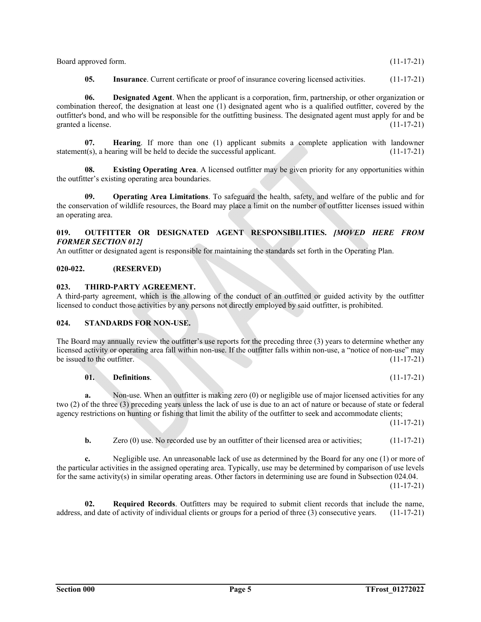| Board approved form. | $(11-17-21)$ |
|----------------------|--------------|
|----------------------|--------------|

**05.** Insurance. Current certificate or proof of insurance covering licensed activities. (11-17-21)

 **06. Designated Agent**. When the applicant is a corporation, firm, partnership, or other organization or combination thereof, the designation at least one (1) designated agent who is a qualified outfitter, covered by the outfitter's bond, and who will be responsible for the outfitting business. The designated agent must apply for and be granted a license. (11-17-21)

 **07. Hearing**. If more than one (1) applicant submits a complete application with landowner statement(s), a hearing will be held to decide the successful applicant. (11-17-21)

 **08. Existing Operating Area**. A licensed outfitter may be given priority for any opportunities within the outfitter's existing operating area boundaries.

**09. Operating Area Limitations**. To safeguard the health, safety, and welfare of the public and for the conservation of wildlife resources, the Board may place a limit on the number of outfitter licenses issued within an operating area.

# **019. OUTFITTER OR DESIGNATED AGENT RESPONSIBILITIES.** *[MOVED HERE FROM FORMER SECTION 012]*

An outfitter or designated agent is responsible for maintaining the standards set forth in the Operating Plan.

# **020-022. (RESERVED)**

# **023. THIRD-PARTY AGREEMENT.**

A third-party agreement, which is the allowing of the conduct of an outfitted or guided activity by the outfitter licensed to conduct those activities by any persons not directly employed by said outfitter, is prohibited.

# **024. STANDARDS FOR NON-USE.**

The Board may annually review the outfitter's use reports for the preceding three (3) years to determine whether any licensed activity or operating area fall within non-use. If the outfitter falls within non-use, a "notice of non-use" may be issued to the outfitter. (11-17-21)

# **01. Definitions**. (11-17-21)

**a.** Non-use. When an outfitter is making zero (0) or negligible use of major licensed activities for any two (2) of the three (3) preceding years unless the lack of use is due to an act of nature or because of state or federal agency restrictions on hunting or fishing that limit the ability of the outfitter to seek and accommodate clients;

 $(11-17-21)$ 

**b.** Zero (0) use. No recorded use by an outfitter of their licensed area or activities; (11-17-21)

**c.** Negligible use. An unreasonable lack of use as determined by the Board for any one (1) or more of the particular activities in the assigned operating area. Typically, use may be determined by comparison of use levels for the same activity(s) in similar operating areas. Other factors in determining use are found in Subsection 024.04.

 $(11-17-21)$ 

**02. Required Records**. Outfitters may be required to submit client records that include the name, address, and date of activity of individual clients or groups for a period of three (3) consecutive years. (11-17-21)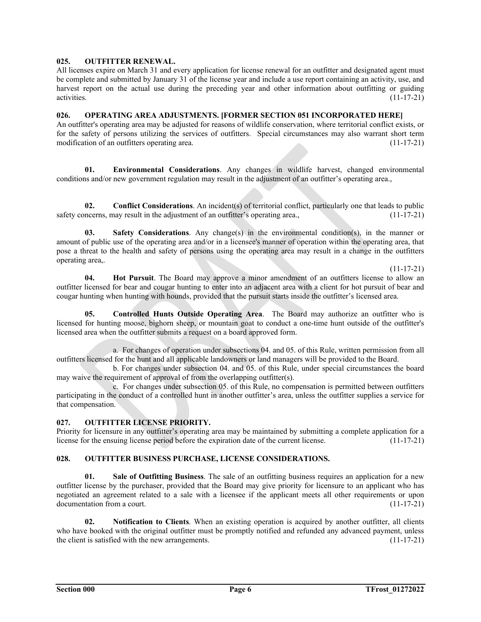# **025. OUTFITTER RENEWAL.**

All licenses expire on March 31 and every application for license renewal for an outfitter and designated agent must be complete and submitted by January 31 of the license year and include a use report containing an activity, use, and harvest report on the actual use during the preceding year and other information about outfitting or guiding activities. (11-17-21)

# **026. OPERATING AREA ADJUSTMENTS. [FORMER SECTION 051 INCORPORATED HERE]**

An outfitter's operating area may be adjusted for reasons of wildlife conservation, where territorial conflict exists, or for the safety of persons utilizing the services of outfitters. Special circumstances may also warrant short term modification of an outfitters operating area. (11-17-21)

**01. Environmental Considerations**. Any changes in wildlife harvest, changed environmental conditions and/or new government regulation may result in the adjustment of an outfitter's operating area.,

**02. Conflict Considerations**. An incident(s) of territorial conflict, particularly one that leads to public safety concerns, may result in the adjustment of an outfitter's operating area.,  $(11-17-21)$ 

**03.** Safety Considerations. Any change(s) in the environmental condition(s), in the manner or amount of public use of the operating area and/or in a licensee's manner of operation within the operating area, that pose a threat to the health and safety of persons using the operating area may result in a change in the outfitters operating area,.

#### $(11-17-21)$

**04. Hot Pursuit**. The Board may approve a minor amendment of an outfitters license to allow an outfitter licensed for bear and cougar hunting to enter into an adjacent area with a client for hot pursuit of bear and cougar hunting when hunting with hounds, provided that the pursuit starts inside the outfitter's licensed area.

**05. Controlled Hunts Outside Operating Area**. The Board may authorize an outfitter who is licensed for hunting moose, bighorn sheep, or mountain goat to conduct a one-time hunt outside of the outfitter's licensed area when the outfitter submits a request on a board approved form.

 a. For changes of operation under subsections 04. and 05. of this Rule, written permission from all outfitters licensed for the hunt and all applicable landowners or land managers will be provided to the Board.

 b. For changes under subsection 04. and 05. of this Rule, under special circumstances the board may waive the requirement of approval of from the overlapping outfitter(s).

 c. For changes under subsection 05. of this Rule, no compensation is permitted between outfitters participating in the conduct of a controlled hunt in another outfitter's area, unless the outfitter supplies a service for that compensation.

# **027. OUTFITTER LICENSE PRIORITY.**

Priority for licensure in any outfitter's operating area may be maintained by submitting a complete application for a license for the ensuing license period before the expiration date of the current license. (11-17-21)

# **028. OUTFITTER BUSINESS PURCHASE, LICENSE CONSIDERATIONS.**

 **01. Sale of Outfitting Business**. The sale of an outfitting business requires an application for a new outfitter license by the purchaser, provided that the Board may give priority for licensure to an applicant who has negotiated an agreement related to a sale with a licensee if the applicant meets all other requirements or upon documentation from a court. (11-17-21)

**02. Notification to Clients**. When an existing operation is acquired by another outfitter, all clients who have booked with the original outfitter must be promptly notified and refunded any advanced payment, unless the client is satisfied with the new arrangements. (11-17-21)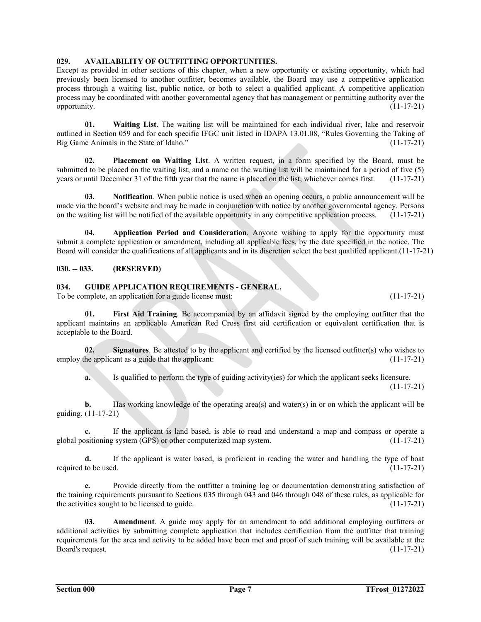# **029. AVAILABILITY OF OUTFITTING OPPORTUNITIES.**

Except as provided in other sections of this chapter, when a new opportunity or existing opportunity, which had previously been licensed to another outfitter, becomes available, the Board may use a competitive application process through a waiting list, public notice, or both to select a qualified applicant. A competitive application process may be coordinated with another governmental agency that has management or permitting authority over the opportunity. (11-17-21)

**01. Waiting List**. The waiting list will be maintained for each individual river, lake and reservoir outlined in Section 059 and for each specific IFGC unit listed in IDAPA 13.01.08, "Rules Governing the Taking of Big Game Animals in the State of Idaho." (11-17-21)

**02. Placement on Waiting List**. A written request, in a form specified by the Board, must be submitted to be placed on the waiting list, and a name on the waiting list will be maintained for a period of five (5) years or until December 31 of the fifth year that the name is placed on the list, whichever comes first. (11-17-21)

 **03. Notification**. When public notice is used when an opening occurs, a public announcement will be made via the board's website and may be made in conjunction with notice by another governmental agency. Persons on the waiting list will be notified of the available opportunity in any competitive application process. (11-17-21)

 **04. Application Period and Consideration**. Anyone wishing to apply for the opportunity must submit a complete application or amendment, including all applicable fees, by the date specified in the notice. The Board will consider the qualifications of all applicants and in its discretion select the best qualified applicant.(11-17-21)

**030. -- 033. (RESERVED)** 

**034. GUIDE APPLICATION REQUIREMENTS - GENERAL.** 

To be complete, an application for a guide license must: (11-17-21)

**01. First Aid Training**. Be accompanied by an affidavit signed by the employing outfitter that the applicant maintains an applicable American Red Cross first aid certification or equivalent certification that is acceptable to the Board.

**02.** Signatures. Be attested to by the applicant and certified by the licensed outfitter(s) who wishes to employ the applicant as a guide that the applicant: (11-17-21)

**a.** Is qualified to perform the type of guiding activity(ies) for which the applicant seeks licensure.  $(11-17-21)$ 

**b.** Has working knowledge of the operating area(s) and water(s) in or on which the applicant will be guiding. (11-17-21)

**c.** If the applicant is land based, is able to read and understand a map and compass or operate a global positioning system (GPS) or other computerized map system. (11-17-21)

**d.** If the applicant is water based, is proficient in reading the water and handling the type of boat required to be used.  $(11-17-21)$ 

**e.** Provide directly from the outfitter a training log or documentation demonstrating satisfaction of the training requirements pursuant to Sections 035 through 043 and 046 through 048 of these rules, as applicable for the activities sought to be licensed to guide.  $(11-17-21)$ 

 **03. Amendment**. A guide may apply for an amendment to add additional employing outfitters or additional activities by submitting complete application that includes certification from the outfitter that training requirements for the area and activity to be added have been met and proof of such training will be available at the Board's request. (11-17-21)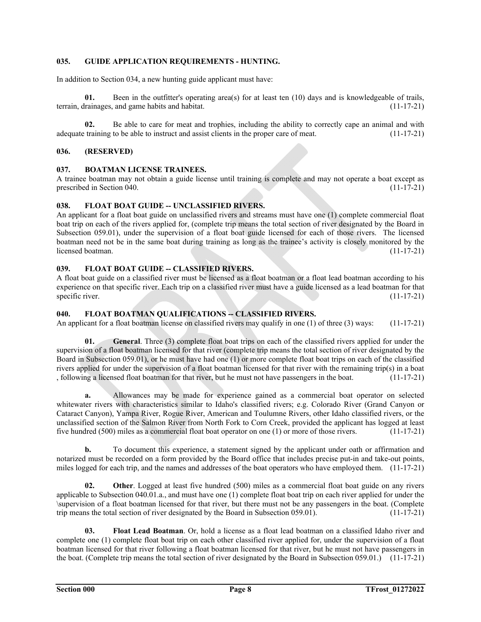# **035. GUIDE APPLICATION REQUIREMENTS - HUNTING.**

In addition to Section 034, a new hunting guide applicant must have:

Been in the outfitter's operating area(s) for at least ten  $(10)$  days and is knowledgeable of trails, terrain, drainages, and game habits and habitat. (11-17-21)

**02.** Be able to care for meat and trophies, including the ability to correctly cape an animal and with adequate training to be able to instruct and assist clients in the proper care of meat. (11-17-21)

#### **036. (RESERVED)**

### **037. BOATMAN LICENSE TRAINEES.**

A trainee boatman may not obtain a guide license until training is complete and may not operate a boat except as prescribed in Section 040. (11-17-21) (11-17-21)

#### **038. FLOAT BOAT GUIDE -- UNCLASSIFIED RIVERS.**

An applicant for a float boat guide on unclassified rivers and streams must have one (1) complete commercial float boat trip on each of the rivers applied for, (complete trip means the total section of river designated by the Board in Subsection 059.01), under the supervision of a float boat guide licensed for each of those rivers. The licensed boatman need not be in the same boat during training as long as the trainee's activity is closely monitored by the licensed boatman. (11-17-21)

### 039. FLOAT BOAT GUIDE -- CLASSIFIED RIVERS.

A float boat guide on a classified river must be licensed as a float boatman or a float lead boatman according to his experience on that specific river. Each trip on a classified river must have a guide licensed as a lead boatman for that specific river. (11-17-21)

# 040. FLOAT BOATMAN QUALIFICATIONS -- CLASSIFIED RIVERS.

An applicant for a float boatman license on classified rivers may qualify in one (1) of three (3) ways: (11-17-21)

**01. General**. Three (3) complete float boat trips on each of the classified rivers applied for under the supervision of a float boatman licensed for that river (complete trip means the total section of river designated by the Board in Subsection 059.01), or he must have had one (1) or more complete float boat trips on each of the classified rivers applied for under the supervision of a float boatman licensed for that river with the remaining trip(s) in a boat , following a licensed float boatman for that river, but he must not have passengers in the boat. (11-17-21)

**a.** Allowances may be made for experience gained as a commercial boat operator on selected whitewater rivers with characteristics similar to Idaho's classified rivers; e.g. Colorado River (Grand Canyon or Cataract Canyon), Yampa River, Rogue River, American and Toulumne Rivers, other Idaho classified rivers, or the unclassified section of the Salmon River from North Fork to Corn Creek, provided the applicant has logged at least five hundred (500) miles as a commercial float boat operator on one (1) or more of those rivers. (11-17-21)

**b.** To document this experience, a statement signed by the applicant under oath or affirmation and notarized must be recorded on a form provided by the Board office that includes precise put-in and take-out points, miles logged for each trip, and the names and addresses of the boat operators who have employed them. (11-17-21)

**02. Other**. Logged at least five hundred (500) miles as a commercial float boat guide on any rivers applicable to Subsection 040.01.a., and must have one (1) complete float boat trip on each river applied for under the \supervision of a float boatman licensed for that river, but there must not be any passengers in the boat. (Complete trip means the total section of river designated by the Board in Subsection 059.01). (11-17-21)

**03. Float Lead Boatman**. Or, hold a license as a float lead boatman on a classified Idaho river and complete one (1) complete float boat trip on each other classified river applied for, under the supervision of a float boatman licensed for that river following a float boatman licensed for that river, but he must not have passengers in the boat. (Complete trip means the total section of river designated by the Board in Subsection 059.01.) (11-17-21)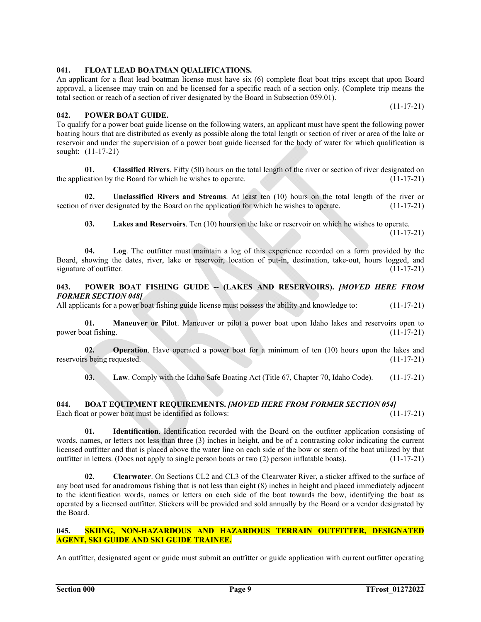**041. FLOAT LEAD BOATMAN QUALIFICATIONS.**  An applicant for a float lead boatman license must have six (6) complete float boat trips except that upon Board approval, a licensee may train on and be licensed for a specific reach of a section only. (Complete trip means the

total section or reach of a section of river designated by the Board in Subsection 059.01).

#### $(11-17-21)$ **042. POWER BOAT GUIDE.**

To qualify for a power boat guide license on the following waters, an applicant must have spent the following power boating hours that are distributed as evenly as possible along the total length or section of river or area of the lake or reservoir and under the supervision of a power boat guide licensed for the body of water for which qualification is sought: (11-17-21)

**01. Classified Rivers**. Fifty (50) hours on the total length of the river or section of river designated on the application by the Board for which he wishes to operate. (11-17-21)

**02. Unclassified Rivers and Streams**. At least ten (10) hours on the total length of the river or section of river designated by the Board on the application for which he wishes to operate. (11-17-21)

**03. Lakes and Reservoirs**. Ten (10) hours on the lake or reservoir on which he wishes to operate.

 $(11-17-21)$ 

**04. Log**. The outfitter must maintain a log of this experience recorded on a form provided by the Board, showing the dates, river, lake or reservoir, location of put-in, destination, take-out, hours logged, and signature of outfitter. (11-17-21)

# 043. POWER BOAT FISHING GUIDE -- (LAKES AND RESERVOIRS). *[MOVED HERE FROM FORMER SECTION 048]*

All applicants for a power boat fishing guide license must possess the ability and knowledge to: (11-17-21)

**01. Maneuver or Pilot**. Maneuver or pilot a power boat upon Idaho lakes and reservoirs open to power boat fishing. (11-17-21)

**02. Operation**. Have operated a power boat for a minimum of ten (10) hours upon the lakes and reservoirs being requested. (11-17-21)

**03.** Law. Comply with the Idaho Safe Boating Act (Title 67, Chapter 70, Idaho Code). (11-17-21)

# **044. BOAT EQUIPMENT REQUIREMENTS.** *[MOVED HERE FROM FORMER SECTION 054]* Each float or power boat must be identified as follows: (11-17-21)

Each float or power boat must be identified as follows:

**01. Identification**. Identification recorded with the Board on the outfitter application consisting of words, names, or letters not less than three (3) inches in height, and be of a contrasting color indicating the current licensed outfitter and that is placed above the water line on each side of the bow or stern of the boat utilized by that outfitter in letters. (Does not apply to single person boats or two (2) person inflatable boats). (11-17-21)

 **02. Clearwater**. On Sections CL2 and CL3 of the Clearwater River, a sticker affixed to the surface of any boat used for anadromous fishing that is not less than eight (8) inches in height and placed immediately adjacent to the identification words, names or letters on each side of the boat towards the bow, identifying the boat as operated by a licensed outfitter. Stickers will be provided and sold annually by the Board or a vendor designated by the Board.

# **045. SKIING, NON-HAZARDOUS AND HAZARDOUS TERRAIN OUTFITTER, DESIGNATED AGENT, SKI GUIDE AND SKI GUIDE TRAINEE.**

An outfitter, designated agent or guide must submit an outfitter or guide application with current outfitter operating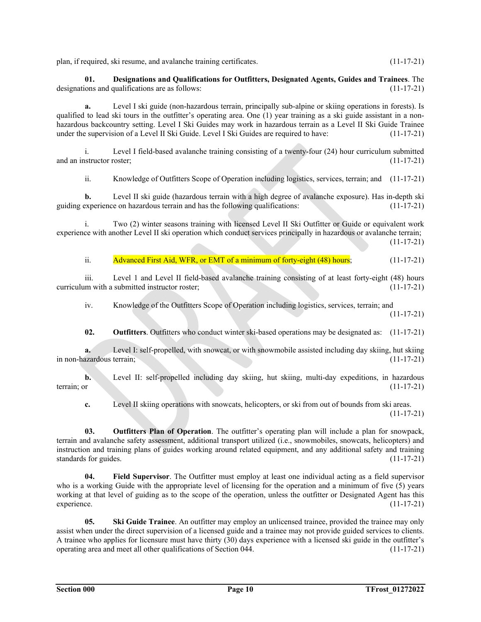plan, if required, ski resume, and avalanche training certificates. (11-17-21)

**01. Designations and Qualifications for Outfitters, Designated Agents, Guides and Trainees**. The designations and qualifications are as follows: (11-17-21)

**a.** Level I ski guide (non-hazardous terrain, principally sub-alpine or skiing operations in forests). Is qualified to lead ski tours in the outfitter's operating area. One (1) year training as a ski guide assistant in a nonhazardous backcountry setting. Level I Ski Guides may work in hazardous terrain as a Level II Ski Guide Trainee under the supervision of a Level II Ski Guide. Level I Ski Guides are required to have: (11-17-21)

 i. Level I field-based avalanche training consisting of a twenty-four (24) hour curriculum submitted and an instructor roster; (11-17-21)

ii. Knowledge of Outfitters Scope of Operation including logistics, services, terrain; and (11-17-21)

**b.** Level II ski guide (hazardous terrain with a high degree of avalanche exposure). Has in-depth ski guiding experience on hazardous terrain and has the following qualifications: (11-17-21)

 i. Two (2) winter seasons training with licensed Level II Ski Outfitter or Guide or equivalent work experience with another Level II ski operation which conduct services principally in hazardous or avalanche terrain;  $(11-17-21)$ 

ii. Advanced First Aid, WFR, or EMT of a minimum of forty-eight (48) hours; (11-17-21)

 iii. Level 1 and Level II field-based avalanche training consisting of at least forty-eight (48) hours curriculum with a submitted instructor roster; (11-17-21)

iv. Knowledge of the Outfitters Scope of Operation including logistics, services, terrain; and

 $(11-17-21)$ 

**02. Outfitters**. Outfitters who conduct winter ski-based operations may be designated as: (11-17-21)

**a.** Level I: self-propelled, with snowcat, or with snowmobile assisted including day skiing, hut skiing in non-hazardous terrain; (11-17-21)

**b.** Level II: self-propelled including day skiing, hut skiing, multi-day expeditions, in hazardous terrain; or (11-17-21) (11-17-21)

**c.** Level II skiing operations with snowcats, helicopters, or ski from out of bounds from ski areas.  $(11-17-21)$ 

**03. Outfitters Plan of Operation**. The outfitter's operating plan will include a plan for snowpack, terrain and avalanche safety assessment, additional transport utilized (i.e., snowmobiles, snowcats, helicopters) and instruction and training plans of guides working around related equipment, and any additional safety and training standards for guides. (11-17-21)

**04. Field Supervisor**. The Outfitter must employ at least one individual acting as a field supervisor who is a working Guide with the appropriate level of licensing for the operation and a minimum of five (5) years working at that level of guiding as to the scope of the operation, unless the outfitter or Designated Agent has this experience. (11-17-21)

**05.** Ski Guide Trainee. An outfitter may employ an unlicensed trainee, provided the trainee may only assist when under the direct supervision of a licensed guide and a trainee may not provide guided services to clients. A trainee who applies for licensure must have thirty (30) days experience with a licensed ski guide in the outfitter's operating area and meet all other qualifications of Section 044. (11-17-21)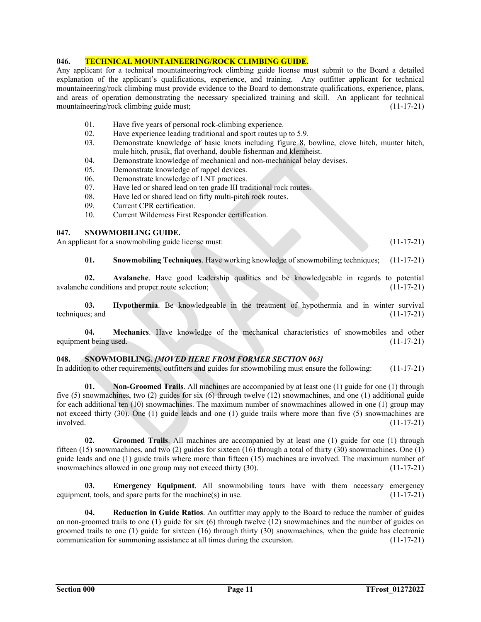# **046. TECHNICAL MOUNTAINEERING/ROCK CLIMBING GUIDE.**

Any applicant for a technical mountaineering/rock climbing guide license must submit to the Board a detailed explanation of the applicant's qualifications, experience, and training. Any outfitter applicant for technical mountaineering/rock climbing must provide evidence to the Board to demonstrate qualifications, experience, plans, and areas of operation demonstrating the necessary specialized training and skill. An applicant for technical mountaineering/rock climbing guide must; (11-17-21) (11-17-21)

- 01. Have five years of personal rock-climbing experience.
- 02. Have experience leading traditional and sport routes up to 5.9.
- 03. Demonstrate knowledge of basic knots including figure 8, bowline, clove hitch, munter hitch, mule hitch, prusik, flat overhand, double fisherman and klemheist.
- 04. Demonstrate knowledge of mechanical and non-mechanical belay devises.
- 05. Demonstrate knowledge of rappel devices.
- 06. Demonstrate knowledge of LNT practices.
- 07. Have led or shared lead on ten grade III traditional rock routes.
- 08. Have led or shared lead on fifty multi-pitch rock routes.
- 09. Current CPR certification.
- 10. Current Wilderness First Responder certification.

# **047. SNOWMOBILING GUIDE.**

An applicant for a snowmobiling guide license must: (11-17-21)

**01. Snowmobiling Techniques**. Have working knowledge of snowmobiling techniques; (11-17-21)

**02. Avalanche**. Have good leadership qualities and be knowledgeable in regards to potential avalanche conditions and proper route selection; (11-17-21)

**03. Hypothermia**. Be knowledgeable in the treatment of hypothermia and in winter survival techniques; and (11-17-21) (11-17-21)

**04. Mechanics**. Have knowledge of the mechanical characteristics of snowmobiles and other equipment being used. (11-17-21)

### **048. SNOWMOBILING.** *[MOVED HERE FROM FORMER SECTION 063]*

In addition to other requirements, outfitters and guides for snowmobiling must ensure the following: (11-17-21)

**01. Non-Groomed Trails**. All machines are accompanied by at least one (1) guide for one (1) through five (5) snowmachines, two (2) guides for six (6) through twelve (12) snowmachines, and one (1) additional guide for each additional ten (10) snowmachines. The maximum number of snowmachines allowed in one (1) group may not exceed thirty (30). One (1) guide leads and one (1) guide trails where more than five (5) snowmachines are involved. (11-17-21)

**02. Groomed Trails**. All machines are accompanied by at least one (1) guide for one (1) through fifteen (15) snowmachines, and two (2) guides for sixteen (16) through a total of thirty (30) snowmachines. One (1) guide leads and one (1) guide trails where more than fifteen (15) machines are involved. The maximum number of snowmachines allowed in one group may not exceed thirty (30). (11-17-21)

**03. Emergency Equipment**. All snowmobiling tours have with them necessary emergency equipment, tools, and spare parts for the machine(s) in use. (11-17-21)

 **04. Reduction in Guide Ratios**. An outfitter may apply to the Board to reduce the number of guides on non-groomed trails to one (1) guide for six (6) through twelve (12) snowmachines and the number of guides on groomed trails to one (1) guide for sixteen (16) through thirty (30) snowmachines, when the guide has electronic communication for summoning assistance at all times during the excursion. (11-17-21)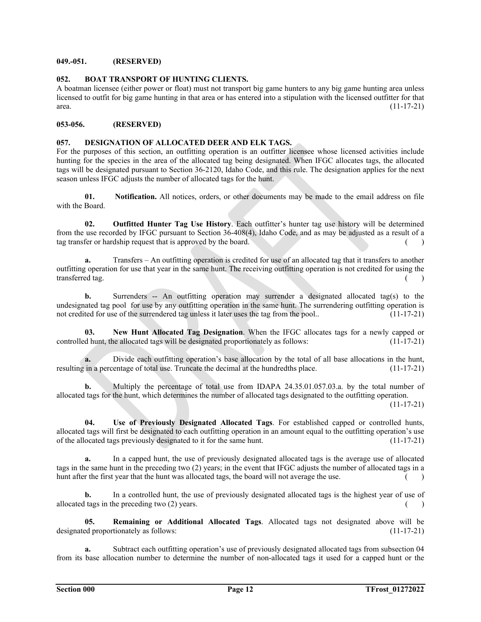# **049.-051. (RESERVED)**

# **052. BOAT TRANSPORT OF HUNTING CLIENTS.**

A boatman licensee (either power or float) must not transport big game hunters to any big game hunting area unless licensed to outfit for big game hunting in that area or has entered into a stipulation with the licensed outfitter for that  $area.$  (11-17-21)

# **053-056. (RESERVED)**

# **057. DESIGNATION OF ALLOCATED DEER AND ELK TAGS.**

For the purposes of this section, an outfitting operation is an outfitter licensee whose licensed activities include hunting for the species in the area of the allocated tag being designated. When IFGC allocates tags, the allocated tags will be designated pursuant to Section 36-2120, Idaho Code, and this rule. The designation applies for the next season unless IFGC adjusts the number of allocated tags for the hunt.

 **01. Notification.** All notices, orders, or other documents may be made to the email address on file with the Board.

 **02. Outfitted Hunter Tag Use History**. Each outfitter's hunter tag use history will be determined from the use recorded by IFGC pursuant to Section 36-408(4), Idaho Code, and as may be adjusted as a result of a tag transfer or hardship request that is approved by the board.

 **a.** Transfers – An outfitting operation is credited for use of an allocated tag that it transfers to another outfitting operation for use that year in the same hunt. The receiving outfitting operation is not credited for using the transferred tag. (a) and the contract of the contract of the contract of the contract of the contract of the contract of the contract of the contract of the contract of the contract of the contract of the contract of the c

**b.** Surrenders -- An outfitting operation may surrender a designated allocated tag(s) to the undesignated tag pool for use by any outfitting operation in the same hunt. The surrendering outfitting operation is not credited for use of the surrendered tag unless it later uses the tag from the pool.. (11-17-21)

 **03. New Hunt Allocated Tag Designation**. When the IFGC allocates tags for a newly capped or controlled hunt, the allocated tags will be designated proportionately as follows: (11-17-21)

**a.** Divide each outfitting operation's base allocation by the total of all base allocations in the hunt, resulting in a percentage of total use. Truncate the decimal at the hundredths place. (11-17-21)

**b.** Multiply the percentage of total use from IDAPA 24.35.01.057.03.a. by the total number of allocated tags for the hunt, which determines the number of allocated tags designated to the outfitting operation.

 $(11-17-21)$ 

 **04. Use of Previously Designated Allocated Tags**. For established capped or controlled hunts, allocated tags will first be designated to each outfitting operation in an amount equal to the outfitting operation's use of the allocated tags previously designated to it for the same hunt. (11-17-21)

**a.** In a capped hunt, the use of previously designated allocated tags is the average use of allocated tags in the same hunt in the preceding two (2) years; in the event that IFGC adjusts the number of allocated tags in a hunt after the first year that the hunt was allocated tags, the board will not average the use.  $($ 

**b.** In a controlled hunt, the use of previously designated allocated tags is the highest year of use of allocated tags in the preceding two  $(2)$  years. ( )

 **05. Remaining or Additional Allocated Tags**. Allocated tags not designated above will be designated proportionately as follows: (11-17-21)

**a.** Subtract each outfitting operation's use of previously designated allocated tags from subsection 04 from its base allocation number to determine the number of non-allocated tags it used for a capped hunt or the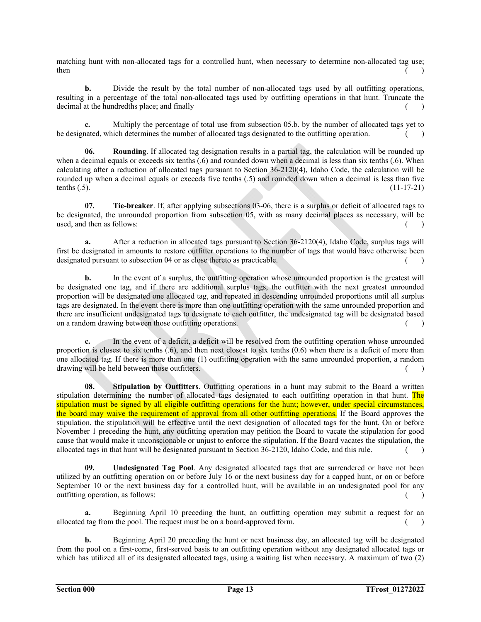matching hunt with non-allocated tags for a controlled hunt, when necessary to determine non-allocated tag use;  $t$  then  $($  and  $)$ 

**b.** Divide the result by the total number of non-allocated tags used by all outfitting operations, resulting in a percentage of the total non-allocated tags used by outfitting operations in that hunt. Truncate the decimal at the hundredths place; and finally  $($ )

**c.** Multiply the percentage of total use from subsection 05.b. by the number of allocated tags yet to be designated, which determines the number of allocated tags designated to the outfitting operation. ()

**06.** Rounding. If allocated tag designation results in a partial tag, the calculation will be rounded up when a decimal equals or exceeds six tenths (.6) and rounded down when a decimal is less than six tenths (.6). When calculating after a reduction of allocated tags pursuant to Section 36-2120(4), Idaho Code, the calculation will be rounded up when a decimal equals or exceeds five tenths (.5) and rounded down when a decimal is less than five tenths  $(.5)$ .  $(11-17-21)$ 

 **07. Tie-breaker**. If, after applying subsections 03-06, there is a surplus or deficit of allocated tags to be designated, the unrounded proportion from subsection 05, with as many decimal places as necessary, will be used, and then as follows: (a) and then as follows: (a) and then as follows: (a) and then as follows: (b) and  $\mathcal{L}$  and  $\mathcal{L}$  and  $\mathcal{L}$  and  $\mathcal{L}$  and  $\mathcal{L}$  and  $\mathcal{L}$  and  $\mathcal{L}$  and  $\mathcal{L}$  and  $\mathcal{L}$ 

 **a.** After a reduction in allocated tags pursuant to Section 36-2120(4), Idaho Code, surplus tags will first be designated in amounts to restore outfitter operations to the number of tags that would have otherwise been designated pursuant to subsection 04 or as close thereto as practicable. ( )

**b.** In the event of a surplus, the outfitting operation whose unrounded proportion is the greatest will be designated one tag, and if there are additional surplus tags, the outfitter with the next greatest unrounded proportion will be designated one allocated tag, and repeated in descending unrounded proportions until all surplus tags are designated. In the event there is more than one outfitting operation with the same unrounded proportion and there are insufficient undesignated tags to designate to each outfitter, the undesignated tag will be designated based on a random drawing between those outfitting operations. () ()

**c.** In the event of a deficit, a deficit will be resolved from the outfitting operation whose unrounded proportion is closest to six tenths (.6), and then next closest to six tenths (0.6) when there is a deficit of more than one allocated tag. If there is more than one (1) outfitting operation with the same unrounded proportion, a random drawing will be held between those outfitters. () ()

**08.** Stipulation by Outflitters. Outflitting operations in a hunt may submit to the Board a written stipulation determining the number of allocated tags designated to each outfitting operation in that hunt. The stipulation must be signed by all eligible outfitting operations for the hunt; however, under special circumstances, the board may waive the requirement of approval from all other outfitting operations. If the Board approves the stipulation, the stipulation will be effective until the next designation of allocated tags for the hunt. On or before November 1 preceding the hunt, any outfitting operation may petition the Board to vacate the stipulation for good cause that would make it unconscionable or unjust to enforce the stipulation. If the Board vacates the stipulation, the allocated tags in that hunt will be designated pursuant to Section 36-2120, Idaho Code, and this rule. ( )

 **09. Undesignated Tag Pool**. Any designated allocated tags that are surrendered or have not been utilized by an outfitting operation on or before July 16 or the next business day for a capped hunt, or on or before September 10 or the next business day for a controlled hunt, will be available in an undesignated pool for any outfitting operation, as follows: ( )

Beginning April 10 preceding the hunt, an outfitting operation may submit a request for an allocated tag from the pool. The request must be on a board-approved form.

**b.** Beginning April 20 preceding the hunt or next business day, an allocated tag will be designated from the pool on a first-come, first-served basis to an outfitting operation without any designated allocated tags or which has utilized all of its designated allocated tags, using a waiting list when necessary. A maximum of two (2)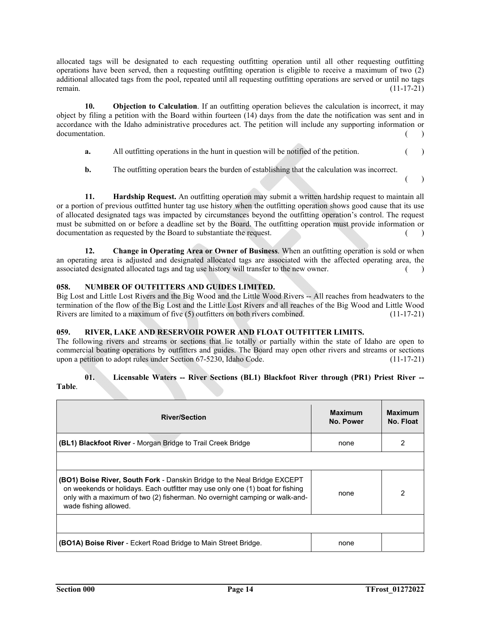allocated tags will be designated to each requesting outfitting operation until all other requesting outfitting operations have been served, then a requesting outfitting operation is eligible to receive a maximum of two (2) additional allocated tags from the pool, repeated until all requesting outfitting operations are served or until no tags remain. (11-17-21)

**10. Objection to Calculation**. If an outfitting operation believes the calculation is incorrect, it may object by filing a petition with the Board within fourteen (14) days from the date the notification was sent and in accordance with the Idaho administrative procedures act. The petition will include any supporting information or documentation. ( )

- **a.** All outfitting operations in the hunt in question will be notified of the petition. ()
- **b.** The outfitting operation bears the burden of establishing that the calculation was incorrect.

 $($  ) in the contract of  $($  ) in the contract of  $($   $)$ 

 **11. Hardship Request.** An outfitting operation may submit a written hardship request to maintain all or a portion of previous outfitted hunter tag use history when the outfitting operation shows good cause that its use of allocated designated tags was impacted by circumstances beyond the outfitting operation's control. The request must be submitted on or before a deadline set by the Board. The outfitting operation must provide information or documentation as requested by the Board to substantiate the request. ( )

**12. Change in Operating Area or Owner of Business**. When an outfitting operation is sold or when an operating area is adjusted and designated allocated tags are associated with the affected operating area, the associated designated allocated tags and tag use history will transfer to the new owner. ()

# **058. NUMBER OF OUTFITTERS AND GUIDES LIMITED.**

Big Lost and Little Lost Rivers and the Big Wood and the Little Wood Rivers -- All reaches from headwaters to the termination of the flow of the Big Lost and the Little Lost Rivers and all reaches of the Big Wood and Little Wood Rivers are limited to a maximum of five (5) outfitters on both rivers combined. (11-17-21)

### **059. RIVER, LAKE AND RESERVOIR POWER AND FLOAT OUTFITTER LIMITS.**

The following rivers and streams or sections that lie totally or partially within the state of Idaho are open to commercial boating operations by outfitters and guides. The Board may open other rivers and streams or sections upon a petition to adopt rules under Section 67-5230, Idaho Code. (11-17-21)

#### **01. Licensable Waters -- River Sections (BL1) Blackfoot River through (PR1) Priest River -- Table**.

| <b>River/Section</b>                                                                                                                                                                                                                                                     | <b>Maximum</b><br>No. Power | <b>Maximum</b><br>No. Float |
|--------------------------------------------------------------------------------------------------------------------------------------------------------------------------------------------------------------------------------------------------------------------------|-----------------------------|-----------------------------|
| <b>(BL1) Blackfoot River</b> - Morgan Bridge to Trail Creek Bridge                                                                                                                                                                                                       | none                        | 2                           |
|                                                                                                                                                                                                                                                                          |                             |                             |
| <b>(BO1) Boise River, South Fork - Danskin Bridge to the Neal Bridge EXCEPT</b><br>on weekends or holidays. Each outfitter may use only one (1) boat for fishing<br>only with a maximum of two (2) fisherman. No overnight camping or walk-and-<br>wade fishing allowed. | none                        | 2                           |
|                                                                                                                                                                                                                                                                          |                             |                             |
| <b>(BO1A) Boise River</b> - Eckert Road Bridge to Main Street Bridge.                                                                                                                                                                                                    | none                        |                             |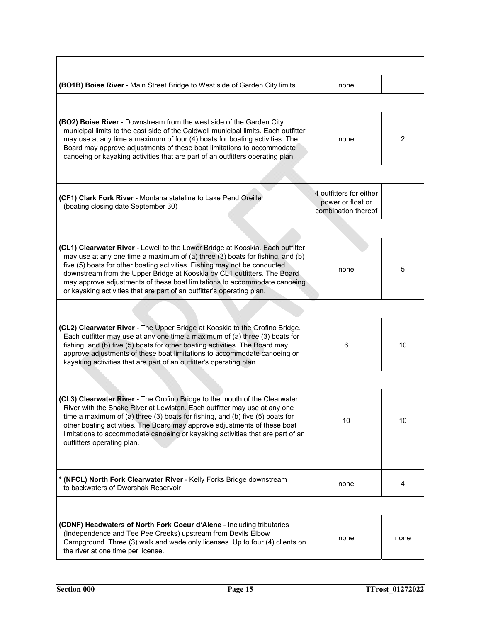| (BO1B) Boise River - Main Street Bridge to West side of Garden City limits.                                                                                                                                                                                                                                                                                                                                                                                                     | none                                                                |      |
|---------------------------------------------------------------------------------------------------------------------------------------------------------------------------------------------------------------------------------------------------------------------------------------------------------------------------------------------------------------------------------------------------------------------------------------------------------------------------------|---------------------------------------------------------------------|------|
|                                                                                                                                                                                                                                                                                                                                                                                                                                                                                 |                                                                     |      |
| (BO2) Boise River - Downstream from the west side of the Garden City<br>municipal limits to the east side of the Caldwell municipal limits. Each outfitter<br>may use at any time a maximum of four (4) boats for boating activities. The<br>Board may approve adjustments of these boat limitations to accommodate<br>canoeing or kayaking activities that are part of an outfitters operating plan.                                                                           | none                                                                | 2    |
|                                                                                                                                                                                                                                                                                                                                                                                                                                                                                 |                                                                     |      |
| (CF1) Clark Fork River - Montana stateline to Lake Pend Oreille<br>(boating closing date September 30)                                                                                                                                                                                                                                                                                                                                                                          | 4 outfitters for either<br>power or float or<br>combination thereof |      |
|                                                                                                                                                                                                                                                                                                                                                                                                                                                                                 |                                                                     |      |
| (CL1) Clearwater River - Lowell to the Lower Bridge at Kooskia. Each outfitter<br>may use at any one time a maximum of (a) three (3) boats for fishing, and (b)<br>five (5) boats for other boating activities. Fishing may not be conducted<br>downstream from the Upper Bridge at Kooskia by CL1 outfitters. The Board<br>may approve adjustments of these boat limitations to accommodate canoeing<br>or kayaking activities that are part of an outfitter's operating plan. | none                                                                | 5    |
|                                                                                                                                                                                                                                                                                                                                                                                                                                                                                 |                                                                     |      |
| (CL2) Clearwater River - The Upper Bridge at Kooskia to the Orofino Bridge.<br>Each outfitter may use at any one time a maximum of (a) three (3) boats for<br>fishing, and (b) five (5) boats for other boating activities. The Board may<br>approve adjustments of these boat limitations to accommodate canoeing or<br>kayaking activities that are part of an outfitter's operating plan.                                                                                    | 6                                                                   | 10   |
|                                                                                                                                                                                                                                                                                                                                                                                                                                                                                 |                                                                     |      |
| (CL3) Clearwater River - The Orofino Bridge to the mouth of the Clearwater<br>River with the Snake River at Lewiston. Each outfitter may use at any one<br>time a maximum of (a) three (3) boats for fishing, and (b) five (5) boats for<br>other boating activities. The Board may approve adjustments of these boat<br>limitations to accommodate canoeing or kayaking activities that are part of an<br>outfitters operating plan.                                           | 10                                                                  | 10   |
|                                                                                                                                                                                                                                                                                                                                                                                                                                                                                 |                                                                     |      |
| * (NFCL) North Fork Clearwater River - Kelly Forks Bridge downstream<br>to backwaters of Dworshak Reservoir                                                                                                                                                                                                                                                                                                                                                                     | none                                                                | 4    |
|                                                                                                                                                                                                                                                                                                                                                                                                                                                                                 |                                                                     |      |
| (CDNF) Headwaters of North Fork Coeur d'Alene - Including tributaries<br>(Independence and Tee Pee Creeks) upstream from Devils Elbow<br>Campground. Three (3) walk and wade only licenses. Up to four (4) clients on<br>the river at one time per license.                                                                                                                                                                                                                     | none                                                                | none |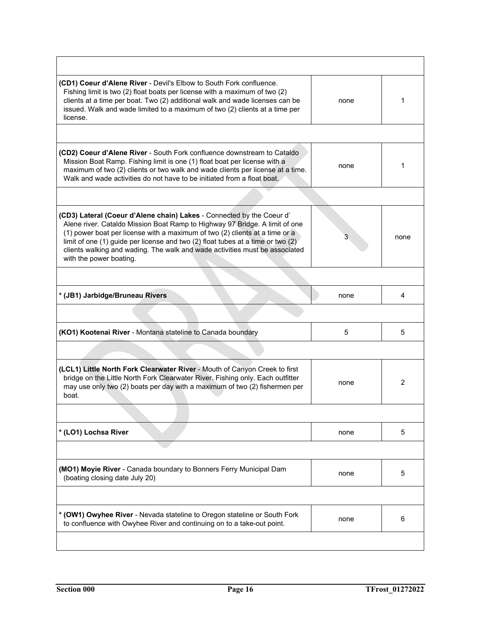| (CD1) Coeur d'Alene River - Devil's Elbow to South Fork confluence.<br>Fishing limit is two (2) float boats per license with a maximum of two (2)<br>clients at a time per boat. Two (2) additional walk and wade licenses can be<br>issued. Walk and wade limited to a maximum of two (2) clients at a time per<br>license.                                                                                                     | none           | 1    |
|----------------------------------------------------------------------------------------------------------------------------------------------------------------------------------------------------------------------------------------------------------------------------------------------------------------------------------------------------------------------------------------------------------------------------------|----------------|------|
|                                                                                                                                                                                                                                                                                                                                                                                                                                  |                |      |
| (CD2) Coeur d'Alene River - South Fork confluence downstream to Cataldo<br>Mission Boat Ramp. Fishing limit is one (1) float boat per license with a<br>maximum of two (2) clients or two walk and wade clients per license at a time.<br>Walk and wade activities do not have to be initiated from a float boat.                                                                                                                | none           | 1    |
|                                                                                                                                                                                                                                                                                                                                                                                                                                  |                |      |
| (CD3) Lateral (Coeur d'Alene chain) Lakes - Connected by the Coeur d'<br>Alene river. Cataldo Mission Boat Ramp to Highway 97 Bridge. A limit of one<br>(1) power boat per license with a maximum of two (2) clients at a time or a<br>limit of one (1) guide per license and two (2) float tubes at a time or two (2)<br>clients walking and wading. The walk and wade activities must be associated<br>with the power boating. | $\overline{3}$ | none |
|                                                                                                                                                                                                                                                                                                                                                                                                                                  |                |      |
| * (JB1) Jarbidge/Bruneau Rivers                                                                                                                                                                                                                                                                                                                                                                                                  | none           | 4    |
|                                                                                                                                                                                                                                                                                                                                                                                                                                  |                |      |
| (KO1) Kootenai River - Montana stateline to Canada boundary                                                                                                                                                                                                                                                                                                                                                                      | 5              | 5    |
|                                                                                                                                                                                                                                                                                                                                                                                                                                  |                |      |
| (LCL1) Little North Fork Clearwater River - Mouth of Canyon Creek to first<br>bridge on the Little North Fork Clearwater River. Fishing only. Each outfitter<br>may use only two (2) boats per day with a maximum of two (2) fishermen per<br>boat.                                                                                                                                                                              | none           | 2    |
|                                                                                                                                                                                                                                                                                                                                                                                                                                  |                |      |
| * (LO1) Lochsa River                                                                                                                                                                                                                                                                                                                                                                                                             | none           | 5    |
|                                                                                                                                                                                                                                                                                                                                                                                                                                  |                |      |
| (MO1) Moyie River - Canada boundary to Bonners Ferry Municipal Dam<br>(boating closing date July 20)                                                                                                                                                                                                                                                                                                                             | none           | 5    |
|                                                                                                                                                                                                                                                                                                                                                                                                                                  |                |      |
| * (OW1) Owyhee River - Nevada stateline to Oregon stateline or South Fork<br>to confluence with Owyhee River and continuing on to a take-out point.                                                                                                                                                                                                                                                                              | none           | 6    |
|                                                                                                                                                                                                                                                                                                                                                                                                                                  |                |      |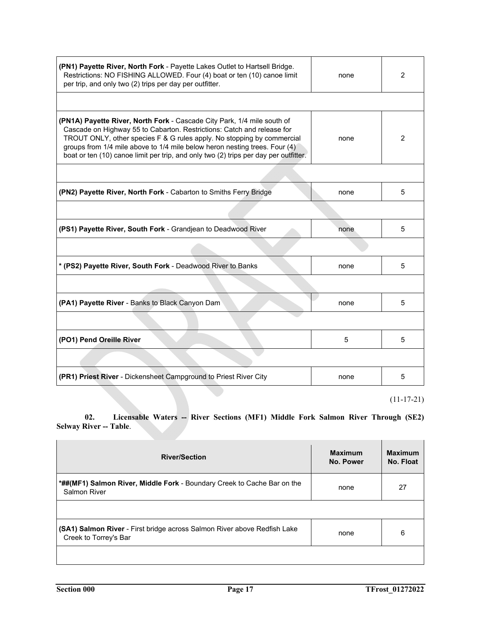| (PN1) Payette River, North Fork - Payette Lakes Outlet to Hartsell Bridge.<br>Restrictions: NO FISHING ALLOWED. Four (4) boat or ten (10) canoe limit<br>per trip, and only two (2) trips per day per outfitter.                                                                                                                                                                                  | none | $\overline{2}$ |
|---------------------------------------------------------------------------------------------------------------------------------------------------------------------------------------------------------------------------------------------------------------------------------------------------------------------------------------------------------------------------------------------------|------|----------------|
|                                                                                                                                                                                                                                                                                                                                                                                                   |      |                |
| (PN1A) Payette River, North Fork - Cascade City Park, 1/4 mile south of<br>Cascade on Highway 55 to Cabarton. Restrictions: Catch and release for<br>TROUT ONLY, other species F & G rules apply. No stopping by commercial<br>groups from 1/4 mile above to 1/4 mile below heron nesting trees. Four (4)<br>boat or ten (10) canoe limit per trip, and only two (2) trips per day per outfitter. | none | 2              |
|                                                                                                                                                                                                                                                                                                                                                                                                   |      |                |
| (PN2) Payette River, North Fork - Cabarton to Smiths Ferry Bridge                                                                                                                                                                                                                                                                                                                                 | none | 5              |
|                                                                                                                                                                                                                                                                                                                                                                                                   |      |                |
| (PS1) Payette River, South Fork - Grandjean to Deadwood River                                                                                                                                                                                                                                                                                                                                     | none | 5              |
|                                                                                                                                                                                                                                                                                                                                                                                                   |      |                |
| * (PS2) Payette River, South Fork - Deadwood River to Banks                                                                                                                                                                                                                                                                                                                                       | none | 5              |
|                                                                                                                                                                                                                                                                                                                                                                                                   |      |                |
| (PA1) Payette River - Banks to Black Canyon Dam                                                                                                                                                                                                                                                                                                                                                   | none | 5              |
|                                                                                                                                                                                                                                                                                                                                                                                                   |      |                |
| (PO1) Pend Oreille River                                                                                                                                                                                                                                                                                                                                                                          | 5    | 5              |
|                                                                                                                                                                                                                                                                                                                                                                                                   |      |                |
| (PR1) Priest River - Dickensheet Campground to Priest River City                                                                                                                                                                                                                                                                                                                                  | none | 5              |
|                                                                                                                                                                                                                                                                                                                                                                                                   |      | $(11-17-21)$   |

 **02. Licensable Waters -- River Sections (MF1) Middle Fork Salmon River Through (SE2) Selway River -- Table.** 

| <b>River/Section</b>                                                                              | <b>Maximum</b><br>No. Power | <b>Maximum</b><br>No. Float |
|---------------------------------------------------------------------------------------------------|-----------------------------|-----------------------------|
| *##(MF1) Salmon River, Middle Fork - Boundary Creek to Cache Bar on the<br><b>Salmon River</b>    | none                        | 27                          |
|                                                                                                   |                             |                             |
| (SA1) Salmon River - First bridge across Salmon River above Redfish Lake<br>Creek to Torrey's Bar | none                        | 6                           |
|                                                                                                   |                             |                             |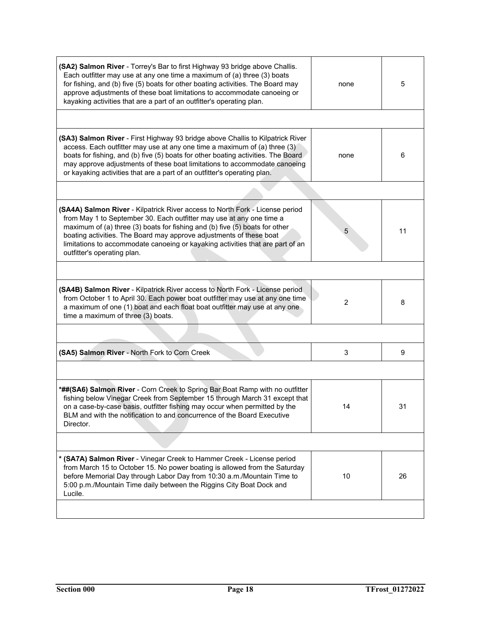| (SA2) Salmon River - Torrey's Bar to first Highway 93 bridge above Challis.<br>Each outfitter may use at any one time a maximum of (a) three (3) boats<br>for fishing, and (b) five (5) boats for other boating activities. The Board may<br>approve adjustments of these boat limitations to accommodate canoeing or<br>kayaking activities that are a part of an outfitter's operating plan.                              | none | 5  |
|-----------------------------------------------------------------------------------------------------------------------------------------------------------------------------------------------------------------------------------------------------------------------------------------------------------------------------------------------------------------------------------------------------------------------------|------|----|
|                                                                                                                                                                                                                                                                                                                                                                                                                             |      |    |
| (SA3) Salmon River - First Highway 93 bridge above Challis to Kilpatrick River<br>access. Each outfitter may use at any one time a maximum of (a) three (3)<br>boats for fishing, and (b) five (5) boats for other boating activities. The Board<br>may approve adjustments of these boat limitations to accommodate canoeing<br>or kayaking activities that are a part of an outfitter's operating plan.                   | none | 6  |
|                                                                                                                                                                                                                                                                                                                                                                                                                             |      |    |
| (SA4A) Salmon River - Kilpatrick River access to North Fork - License period<br>from May 1 to September 30. Each outfitter may use at any one time a<br>maximum of (a) three (3) boats for fishing and (b) five (5) boats for other<br>boating activities. The Board may approve adjustments of these boat<br>limitations to accommodate canoeing or kayaking activities that are part of an<br>outfitter's operating plan. | 5    | 11 |
|                                                                                                                                                                                                                                                                                                                                                                                                                             |      |    |
| (SA4B) Salmon River - Kilpatrick River access to North Fork - License period<br>from October 1 to April 30. Each power boat outfitter may use at any one time<br>a maximum of one (1) boat and each float boat outfitter may use at any one<br>time a maximum of three (3) boats.                                                                                                                                           | 2    | 8  |
|                                                                                                                                                                                                                                                                                                                                                                                                                             |      |    |
| (SA5) Salmon River - North Fork to Corn Creek                                                                                                                                                                                                                                                                                                                                                                               | 3    | 9  |
|                                                                                                                                                                                                                                                                                                                                                                                                                             |      |    |
| *##(SA6) Salmon River - Corn Creek to Spring Bar Boat Ramp with no outfitter<br>fishing below Vinegar Creek from September 15 through March 31 except that<br>on a case-by-case basis, outfitter fishing may occur when permitted by the<br>BLM and with the notification to and concurrence of the Board Executive<br>Director.                                                                                            | 14   | 31 |
|                                                                                                                                                                                                                                                                                                                                                                                                                             |      |    |
| * (SA7A) Salmon River - Vinegar Creek to Hammer Creek - License period<br>from March 15 to October 15. No power boating is allowed from the Saturday<br>before Memorial Day through Labor Day from 10:30 a.m./Mountain Time to<br>5:00 p.m./Mountain Time daily between the Riggins City Boat Dock and<br>Lucile.                                                                                                           | 10   | 26 |
|                                                                                                                                                                                                                                                                                                                                                                                                                             |      |    |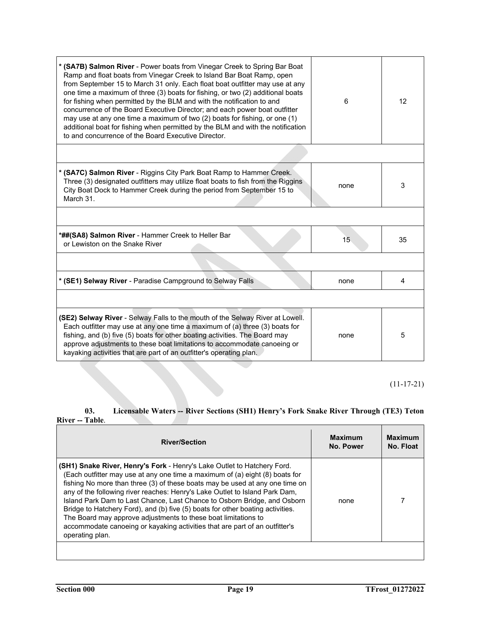| * (SA7B) Salmon River - Power boats from Vinegar Creek to Spring Bar Boat<br>Ramp and float boats from Vinegar Creek to Island Bar Boat Ramp, open<br>from September 15 to March 31 only. Each float boat outfitter may use at any<br>one time a maximum of three (3) boats for fishing, or two (2) additional boats<br>for fishing when permitted by the BLM and with the notification to and<br>concurrence of the Board Executive Director; and each power boat outfitter<br>may use at any one time a maximum of two (2) boats for fishing, or one (1)<br>additional boat for fishing when permitted by the BLM and with the notification<br>to and concurrence of the Board Executive Director. | 6    | 12             |
|------------------------------------------------------------------------------------------------------------------------------------------------------------------------------------------------------------------------------------------------------------------------------------------------------------------------------------------------------------------------------------------------------------------------------------------------------------------------------------------------------------------------------------------------------------------------------------------------------------------------------------------------------------------------------------------------------|------|----------------|
|                                                                                                                                                                                                                                                                                                                                                                                                                                                                                                                                                                                                                                                                                                      |      |                |
| * (SA7C) Salmon River - Riggins City Park Boat Ramp to Hammer Creek.<br>Three (3) designated outfitters may utilize float boats to fish from the Riggins<br>City Boat Dock to Hammer Creek during the period from September 15 to<br>March 31.                                                                                                                                                                                                                                                                                                                                                                                                                                                       | none | 3              |
|                                                                                                                                                                                                                                                                                                                                                                                                                                                                                                                                                                                                                                                                                                      |      |                |
| *##(SA8) Salmon River - Hammer Creek to Heller Bar<br>or Lewiston on the Snake River                                                                                                                                                                                                                                                                                                                                                                                                                                                                                                                                                                                                                 | 15   | 35             |
|                                                                                                                                                                                                                                                                                                                                                                                                                                                                                                                                                                                                                                                                                                      |      |                |
| * (SE1) Selway River - Paradise Campground to Selway Falls                                                                                                                                                                                                                                                                                                                                                                                                                                                                                                                                                                                                                                           | none | $\overline{4}$ |
|                                                                                                                                                                                                                                                                                                                                                                                                                                                                                                                                                                                                                                                                                                      |      |                |
| (SE2) Selway River - Selway Falls to the mouth of the Selway River at Lowell.<br>Each outfitter may use at any one time a maximum of (a) three (3) boats for<br>fishing, and (b) five (5) boats for other boating activities. The Board may<br>approve adjustments to these boat limitations to accommodate canoeing or<br>kayaking activities that are part of an outfitter's operating plan.                                                                                                                                                                                                                                                                                                       | none | 5              |

(11-17-21)

# **03. Licensable Waters -- River Sections (SH1) Henry's Fork Snake River Through (TE3) Teton River -- Table**.

| <b>River/Section</b>                                                                                                                                                                                                                                                                                                                                                                                                                                                                                                                                                                                                                                            | <b>Maximum</b><br>No. Power | <b>Maximum</b><br>No. Float |
|-----------------------------------------------------------------------------------------------------------------------------------------------------------------------------------------------------------------------------------------------------------------------------------------------------------------------------------------------------------------------------------------------------------------------------------------------------------------------------------------------------------------------------------------------------------------------------------------------------------------------------------------------------------------|-----------------------------|-----------------------------|
| <b>(SH1) Snake River, Henry's Fork</b> - Henry's Lake Outlet to Hatchery Ford.<br>(Each outfitter may use at any one time a maximum of (a) eight (8) boats for<br>fishing No more than three (3) of these boats may be used at any one time on<br>any of the following river reaches: Henry's Lake Outlet to Island Park Dam,<br>Island Park Dam to Last Chance, Last Chance to Osborn Bridge, and Osborn<br>Bridge to Hatchery Ford), and (b) five (5) boats for other boating activities.<br>The Board may approve adjustments to these boat limitations to<br>accommodate canoeing or kayaking activities that are part of an outfitter's<br>operating plan. | none                        |                             |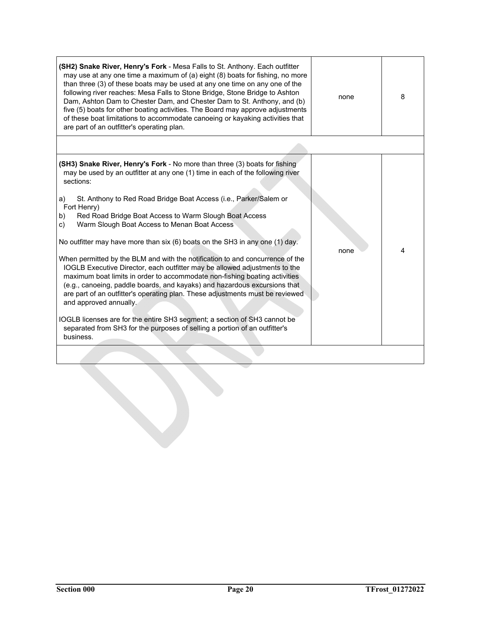| (SH2) Snake River, Henry's Fork - Mesa Falls to St. Anthony. Each outfitter<br>may use at any one time a maximum of (a) eight (8) boats for fishing, no more<br>than three (3) of these boats may be used at any one time on any one of the<br>following river reaches: Mesa Falls to Stone Bridge, Stone Bridge to Ashton<br>Dam, Ashton Dam to Chester Dam, and Chester Dam to St. Anthony, and (b)<br>five (5) boats for other boating activities. The Board may approve adjustments<br>of these boat limitations to accommodate canoeing or kayaking activities that<br>are part of an outfitter's operating plan.                                                                                                                                                                                                                                                                                                                                                                                                                                                                 | none | 8 |
|----------------------------------------------------------------------------------------------------------------------------------------------------------------------------------------------------------------------------------------------------------------------------------------------------------------------------------------------------------------------------------------------------------------------------------------------------------------------------------------------------------------------------------------------------------------------------------------------------------------------------------------------------------------------------------------------------------------------------------------------------------------------------------------------------------------------------------------------------------------------------------------------------------------------------------------------------------------------------------------------------------------------------------------------------------------------------------------|------|---|
|                                                                                                                                                                                                                                                                                                                                                                                                                                                                                                                                                                                                                                                                                                                                                                                                                                                                                                                                                                                                                                                                                        |      |   |
| (SH3) Snake River, Henry's Fork - No more than three (3) boats for fishing<br>may be used by an outfitter at any one (1) time in each of the following river<br>sections:<br>St. Anthony to Red Road Bridge Boat Access (i.e., Parker/Salem or<br>a)<br>Fort Henry)<br>Red Road Bridge Boat Access to Warm Slough Boat Access<br>b)<br>Warm Slough Boat Access to Menan Boat Access<br>c)<br>No outfitter may have more than six (6) boats on the SH3 in any one (1) day.<br>When permitted by the BLM and with the notification to and concurrence of the<br>IOGLB Executive Director, each outfitter may be allowed adjustments to the<br>maximum boat limits in order to accommodate non-fishing boating activities<br>(e.g., canoeing, paddle boards, and kayaks) and hazardous excursions that<br>are part of an outfitter's operating plan. These adjustments must be reviewed<br>and approved annually.<br>IOGLB licenses are for the entire SH3 segment; a section of SH3 cannot be<br>separated from SH3 for the purposes of selling a portion of an outfitter's<br>business. | none | 4 |
|                                                                                                                                                                                                                                                                                                                                                                                                                                                                                                                                                                                                                                                                                                                                                                                                                                                                                                                                                                                                                                                                                        |      |   |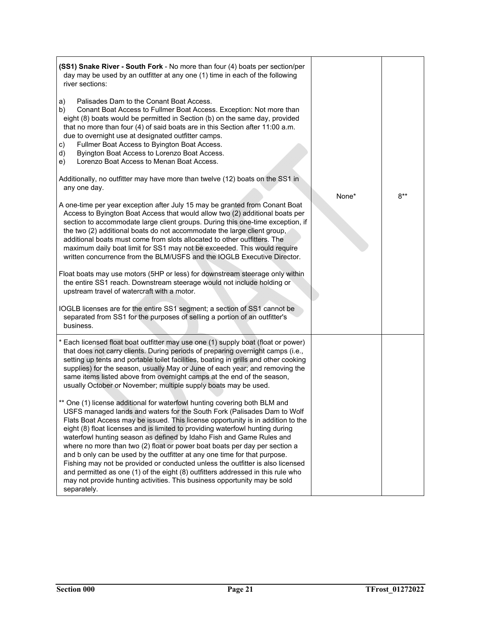| (SS1) Snake River - South Fork - No more than four (4) boats per section/per<br>day may be used by an outfitter at any one (1) time in each of the following<br>river sections:                                                                                                                                                                                                                                                                                                                                                                                                                                                                                                                                                                                                                                              |       |        |
|------------------------------------------------------------------------------------------------------------------------------------------------------------------------------------------------------------------------------------------------------------------------------------------------------------------------------------------------------------------------------------------------------------------------------------------------------------------------------------------------------------------------------------------------------------------------------------------------------------------------------------------------------------------------------------------------------------------------------------------------------------------------------------------------------------------------------|-------|--------|
| Palisades Dam to the Conant Boat Access.<br>a)<br>Conant Boat Access to Fullmer Boat Access. Exception: Not more than<br>b)<br>eight (8) boats would be permitted in Section (b) on the same day, provided<br>that no more than four (4) of said boats are in this Section after 11:00 a.m.<br>due to overnight use at designated outfitter camps.<br>Fullmer Boat Access to Byington Boat Access.<br>C)<br>Byington Boat Access to Lorenzo Boat Access.<br>d)<br>Lorenzo Boat Access to Menan Boat Access.<br>e)                                                                                                                                                                                                                                                                                                            |       |        |
| Additionally, no outfitter may have more than twelve (12) boats on the SS1 in<br>any one day.                                                                                                                                                                                                                                                                                                                                                                                                                                                                                                                                                                                                                                                                                                                                |       |        |
| A one-time per year exception after July 15 may be granted from Conant Boat<br>Access to Byington Boat Access that would allow two (2) additional boats per<br>section to accommodate large client groups. During this one-time exception, if<br>the two (2) additional boats do not accommodate the large client group,<br>additional boats must come from slots allocated to other outfitters. The<br>maximum daily boat limit for SS1 may not be exceeded. This would require<br>written concurrence from the BLM/USFS and the IOGLB Executive Director.                                                                                                                                                                                                                                                                  | None* | $8***$ |
| Float boats may use motors (5HP or less) for downstream steerage only within<br>the entire SS1 reach. Downstream steerage would not include holding or<br>upstream travel of watercraft with a motor.                                                                                                                                                                                                                                                                                                                                                                                                                                                                                                                                                                                                                        |       |        |
| IOGLB licenses are for the entire SS1 segment; a section of SS1 cannot be<br>separated from SS1 for the purposes of selling a portion of an outfitter's<br>business.                                                                                                                                                                                                                                                                                                                                                                                                                                                                                                                                                                                                                                                         |       |        |
| * Each licensed float boat outfitter may use one (1) supply boat (float or power)<br>that does not carry clients. During periods of preparing overnight camps (i.e.,<br>setting up tents and portable toilet facilities, boating in grills and other cooking<br>supplies) for the season, usually May or June of each year; and removing the<br>same items listed above from overnight camps at the end of the season,<br>usually October or November; multiple supply boats may be used.                                                                                                                                                                                                                                                                                                                                    |       |        |
| ** One (1) license additional for waterfowl hunting covering both BLM and<br>USFS managed lands and waters for the South Fork (Palisades Dam to Wolf<br>Flats Boat Access may be issued. This license opportunity is in addition to the<br>eight (8) float licenses and is limited to providing waterfowl hunting during<br>waterfowl hunting season as defined by Idaho Fish and Game Rules and<br>where no more than two (2) float or power boat boats per day per section a<br>and b only can be used by the outfitter at any one time for that purpose.<br>Fishing may not be provided or conducted unless the outfitter is also licensed<br>and permitted as one (1) of the eight (8) outfitters addressed in this rule who<br>may not provide hunting activities. This business opportunity may be sold<br>separately. |       |        |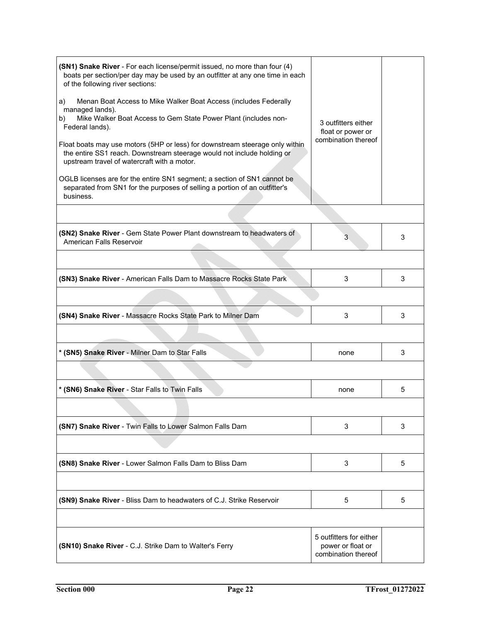| (SN1) Snake River - For each license/permit issued, no more than four (4)<br>boats per section/per day may be used by an outfitter at any one time in each<br>of the following river sections:<br>Menan Boat Access to Mike Walker Boat Access (includes Federally<br>a)<br>managed lands).<br>Mike Walker Boat Access to Gem State Power Plant (includes non-<br>b)<br>Federal lands).<br>Float boats may use motors (5HP or less) for downstream steerage only within<br>the entire SS1 reach. Downstream steerage would not include holding or<br>upstream travel of watercraft with a motor.<br>OGLB licenses are for the entire SN1 segment; a section of SN1 cannot be<br>separated from SN1 for the purposes of selling a portion of an outfitter's<br>business. | 3 outfitters either<br>float or power or<br>combination thereof     |   |
|-------------------------------------------------------------------------------------------------------------------------------------------------------------------------------------------------------------------------------------------------------------------------------------------------------------------------------------------------------------------------------------------------------------------------------------------------------------------------------------------------------------------------------------------------------------------------------------------------------------------------------------------------------------------------------------------------------------------------------------------------------------------------|---------------------------------------------------------------------|---|
|                                                                                                                                                                                                                                                                                                                                                                                                                                                                                                                                                                                                                                                                                                                                                                         |                                                                     |   |
| (SN2) Snake River - Gem State Power Plant downstream to headwaters of<br>American Falls Reservoir                                                                                                                                                                                                                                                                                                                                                                                                                                                                                                                                                                                                                                                                       | 3                                                                   | 3 |
|                                                                                                                                                                                                                                                                                                                                                                                                                                                                                                                                                                                                                                                                                                                                                                         |                                                                     |   |
| (SN3) Snake River - American Falls Dam to Massacre Rocks State Park                                                                                                                                                                                                                                                                                                                                                                                                                                                                                                                                                                                                                                                                                                     | 3                                                                   | 3 |
|                                                                                                                                                                                                                                                                                                                                                                                                                                                                                                                                                                                                                                                                                                                                                                         |                                                                     |   |
| (SN4) Snake River - Massacre Rocks State Park to Milner Dam                                                                                                                                                                                                                                                                                                                                                                                                                                                                                                                                                                                                                                                                                                             | 3                                                                   | 3 |
|                                                                                                                                                                                                                                                                                                                                                                                                                                                                                                                                                                                                                                                                                                                                                                         |                                                                     |   |
| * (SN5) Snake River - Milner Dam to Star Falls                                                                                                                                                                                                                                                                                                                                                                                                                                                                                                                                                                                                                                                                                                                          | none                                                                | 3 |
|                                                                                                                                                                                                                                                                                                                                                                                                                                                                                                                                                                                                                                                                                                                                                                         |                                                                     |   |
| * (SN6) Snake River - Star Falls to Twin Falls                                                                                                                                                                                                                                                                                                                                                                                                                                                                                                                                                                                                                                                                                                                          | none                                                                | 5 |
|                                                                                                                                                                                                                                                                                                                                                                                                                                                                                                                                                                                                                                                                                                                                                                         |                                                                     |   |
| (SN7) Snake River - Twin Falls to Lower Salmon Falls Dam                                                                                                                                                                                                                                                                                                                                                                                                                                                                                                                                                                                                                                                                                                                | 3                                                                   | 3 |
|                                                                                                                                                                                                                                                                                                                                                                                                                                                                                                                                                                                                                                                                                                                                                                         |                                                                     |   |
| (SN8) Snake River - Lower Salmon Falls Dam to Bliss Dam                                                                                                                                                                                                                                                                                                                                                                                                                                                                                                                                                                                                                                                                                                                 | 3                                                                   | 5 |
|                                                                                                                                                                                                                                                                                                                                                                                                                                                                                                                                                                                                                                                                                                                                                                         |                                                                     |   |
| (SN9) Snake River - Bliss Dam to headwaters of C.J. Strike Reservoir                                                                                                                                                                                                                                                                                                                                                                                                                                                                                                                                                                                                                                                                                                    | 5                                                                   | 5 |
|                                                                                                                                                                                                                                                                                                                                                                                                                                                                                                                                                                                                                                                                                                                                                                         |                                                                     |   |
| (SN10) Snake River - C.J. Strike Dam to Walter's Ferry                                                                                                                                                                                                                                                                                                                                                                                                                                                                                                                                                                                                                                                                                                                  | 5 outfitters for either<br>power or float or<br>combination thereof |   |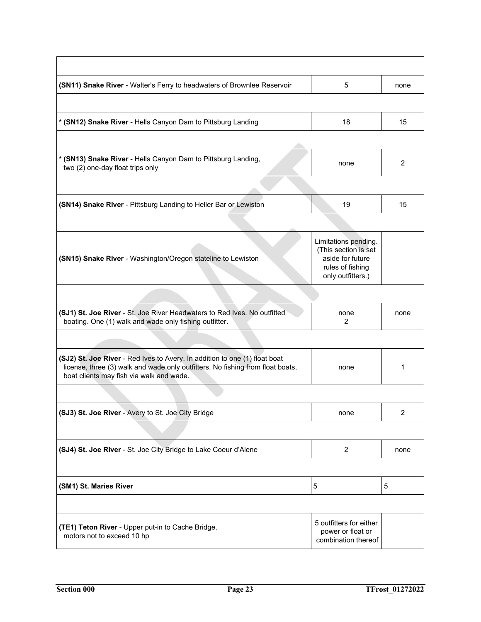| (SN11) Snake River - Walter's Ferry to headwaters of Brownlee Reservoir                                                                                                                                  | 5                                                                                                         | none           |
|----------------------------------------------------------------------------------------------------------------------------------------------------------------------------------------------------------|-----------------------------------------------------------------------------------------------------------|----------------|
|                                                                                                                                                                                                          |                                                                                                           |                |
| * (SN12) Snake River - Hells Canyon Dam to Pittsburg Landing                                                                                                                                             | 18                                                                                                        | 15             |
|                                                                                                                                                                                                          |                                                                                                           |                |
| * (SN13) Snake River - Hells Canyon Dam to Pittsburg Landing,<br>two (2) one-day float trips only                                                                                                        | none                                                                                                      | $\overline{2}$ |
|                                                                                                                                                                                                          |                                                                                                           |                |
| (SN14) Snake River - Pittsburg Landing to Heller Bar or Lewiston                                                                                                                                         | 19                                                                                                        | 15             |
|                                                                                                                                                                                                          |                                                                                                           |                |
| (SN15) Snake River - Washington/Oregon stateline to Lewiston                                                                                                                                             | Limitations pending.<br>(This section is set<br>aside for future<br>rules of fishing<br>only outfitters.) |                |
|                                                                                                                                                                                                          |                                                                                                           |                |
| (SJ1) St. Joe River - St. Joe River Headwaters to Red Ives. No outfitted<br>boating. One (1) walk and wade only fishing outfitter.                                                                       | none<br>2                                                                                                 | none           |
|                                                                                                                                                                                                          |                                                                                                           |                |
| (SJ2) St. Joe River - Red Ives to Avery. In addition to one (1) float boat<br>license, three (3) walk and wade only outfitters. No fishing from float boats,<br>boat clients may fish via walk and wade. | none                                                                                                      | 1              |
|                                                                                                                                                                                                          |                                                                                                           |                |
| (SJ3) St. Joe River - Avery to St. Joe City Bridge                                                                                                                                                       | none                                                                                                      | $\overline{c}$ |
|                                                                                                                                                                                                          |                                                                                                           |                |
| (SJ4) St. Joe River - St. Joe City Bridge to Lake Coeur d'Alene                                                                                                                                          | $\overline{c}$                                                                                            | none           |
|                                                                                                                                                                                                          |                                                                                                           |                |
| (SM1) St. Maries River                                                                                                                                                                                   | 5                                                                                                         | 5              |
|                                                                                                                                                                                                          |                                                                                                           |                |
| (TE1) Teton River - Upper put-in to Cache Bridge,<br>motors not to exceed 10 hp                                                                                                                          | 5 outfitters for either<br>power or float or<br>combination thereof                                       |                |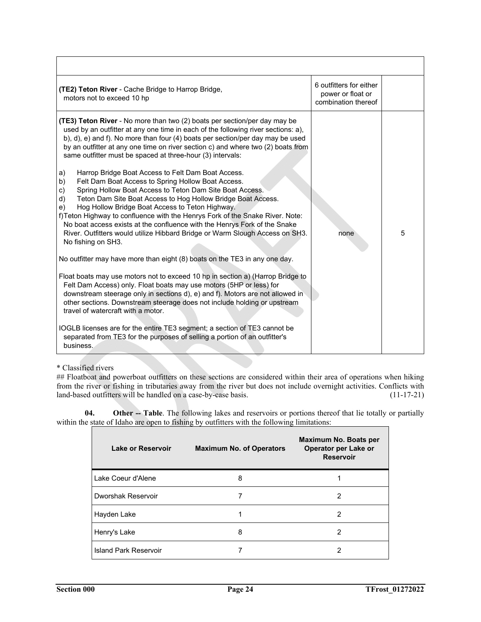| <b>(TE2) Teton River</b> - Cache Bridge to Harrop Bridge,<br>motors not to exceed 10 hp                                                                                                                                                                                                                                                                                                                                                                                                                                                                                                                                                                                                                                                                                                                                                                                                                                                                                                                                                                                                                                                                                                                                                                                                                                                                                                                                                                                                                                                                                                                           | 6 outfitters for either<br>power or float or<br>combination thereof |   |
|-------------------------------------------------------------------------------------------------------------------------------------------------------------------------------------------------------------------------------------------------------------------------------------------------------------------------------------------------------------------------------------------------------------------------------------------------------------------------------------------------------------------------------------------------------------------------------------------------------------------------------------------------------------------------------------------------------------------------------------------------------------------------------------------------------------------------------------------------------------------------------------------------------------------------------------------------------------------------------------------------------------------------------------------------------------------------------------------------------------------------------------------------------------------------------------------------------------------------------------------------------------------------------------------------------------------------------------------------------------------------------------------------------------------------------------------------------------------------------------------------------------------------------------------------------------------------------------------------------------------|---------------------------------------------------------------------|---|
| (TE3) Teton River - No more than two (2) boats per section/per day may be<br>used by an outfitter at any one time in each of the following river sections: a),<br>b), d), e) and f). No more than four (4) boats per section/per day may be used<br>by an outfitter at any one time on river section c) and where two (2) boats from<br>same outfitter must be spaced at three-hour (3) intervals:<br>Harrop Bridge Boat Access to Felt Dam Boat Access.<br>a)<br>Felt Dam Boat Access to Spring Hollow Boat Access.<br>b)<br>Spring Hollow Boat Access to Teton Dam Site Boat Access.<br>c)<br>d)<br>Teton Dam Site Boat Access to Hog Hollow Bridge Boat Access.<br>Hog Hollow Bridge Boat Access to Teton Highway.<br>e)<br>f) Teton Highway to confluence with the Henrys Fork of the Snake River. Note:<br>No boat access exists at the confluence with the Henrys Fork of the Snake<br>River. Outfitters would utilize Hibbard Bridge or Warm Slough Access on SH3.<br>No fishing on SH3.<br>No outfitter may have more than eight (8) boats on the TE3 in any one day.<br>Float boats may use motors not to exceed 10 hp in section a) (Harrop Bridge to<br>Felt Dam Access) only. Float boats may use motors (5HP or less) for<br>downstream steerage only in sections d), e) and f). Motors are not allowed in<br>other sections. Downstream steerage does not include holding or upstream<br>travel of watercraft with a motor.<br>IOGLB licenses are for the entire TE3 segment; a section of TE3 cannot be<br>separated from TE3 for the purposes of selling a portion of an outfitter's<br>business. | none                                                                | 5 |

\* Classified rivers

## Floatboat and powerboat outfitters on these sections are considered within their area of operations when hiking from the river or fishing in tributaries away from the river but does not include overnight activities. Conflicts with land-based outfitters will be handled on a case-by-case basis. (11-17-21)

**04. Other -- Table**. The following lakes and reservoirs or portions thereof that lie totally or partially within the state of Idaho are open to fishing by outfitters with the following limitations:

| Lake or Reservoir     | <b>Maximum No. of Operators</b> | Maximum No. Boats per<br>Operator per Lake or<br><b>Reservoir</b> |
|-----------------------|---------------------------------|-------------------------------------------------------------------|
| Lake Coeur d'Alene    | 8                               |                                                                   |
| Dworshak Reservoir    |                                 | 2                                                                 |
| Hayden Lake           |                                 | 2                                                                 |
| Henry's Lake          | 8                               | 2                                                                 |
| Island Park Reservoir |                                 | 2                                                                 |